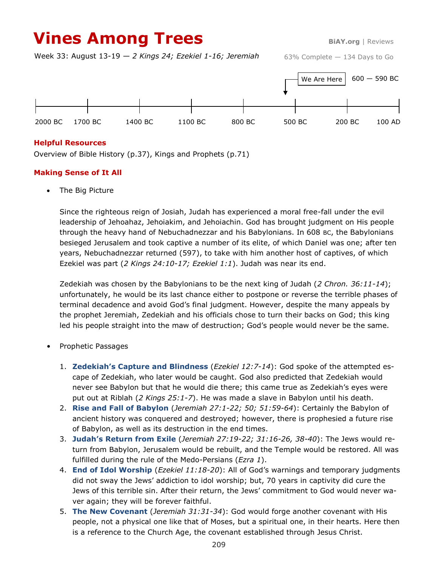# **Vines Among Trees BiAY.org** | Reviews

Week 33: August 13-19 — *2 Kings 24; Ezekiel 1-16; Jeremiah*

63% Complete — 134 Days to Go



### **Helpful Resources**

Overview of Bible History (p.37), Kings and Prophets (p.71)

# **Making Sense of It All**

The Big Picture

Since the righteous reign of Josiah, Judah has experienced a moral free-fall under the evil leadership of Jehoahaz, Jehoiakim, and Jehoiachin. God has brought judgment on His people through the heavy hand of Nebuchadnezzar and his Babylonians. In 608 BC, the Babylonians besieged Jerusalem and took captive a number of its elite, of which Daniel was one; after ten years, Nebuchadnezzar returned (597), to take with him another host of captives, of which Ezekiel was part (*2 Kings 24:10-17; Ezekiel 1:1*). Judah was near its end.

Zedekiah was chosen by the Babylonians to be the next king of Judah (*2 Chron. 36:11-14*); unfortunately, he would be its last chance either to postpone or reverse the terrible phases of terminal decadence and avoid God's final judgment. However, despite the many appeals by the prophet Jeremiah, Zedekiah and his officials chose to turn their backs on God; this king led his people straight into the maw of destruction; God's people would never be the same.

- Prophetic Passages
	- 1. **Zedekiah's Capture and Blindness** (*Ezekiel 12:7-14*): God spoke of the attempted escape of Zedekiah, who later would be caught. God also predicted that Zedekiah would never see Babylon but that he would die there; this came true as Zedekiah's eyes were put out at Riblah (*2 Kings 25:1-7*). He was made a slave in Babylon until his death.
	- 2. **Rise and Fall of Babylon** (*Jeremiah 27:1-22; 50; 51:59-64*): Certainly the Babylon of ancient history was conquered and destroyed; however, there is prophesied a future rise of Babylon, as well as its destruction in the end times.
	- 3. **Judah's Return from Exile** (*Jeremiah 27:19-22; 31:16-26, 38-40*): The Jews would return from Babylon, Jerusalem would be rebuilt, and the Temple would be restored. All was fulfilled during the rule of the Medo-Persians (*Ezra 1*).
	- 4. **End of Idol Worship** (*Ezekiel 11:18-20*): All of God's warnings and temporary judgments did not sway the Jews' addiction to idol worship; but, 70 years in captivity did cure the Jews of this terrible sin. After their return, the Jews' commitment to God would never waver again; they will be forever faithful.
	- 5. **The New Covenant** (*Jeremiah 31:31-34*): God would forge another covenant with His people, not a physical one like that of Moses, but a spiritual one, in their hearts. Here then is a reference to the Church Age, the covenant established through Jesus Christ.